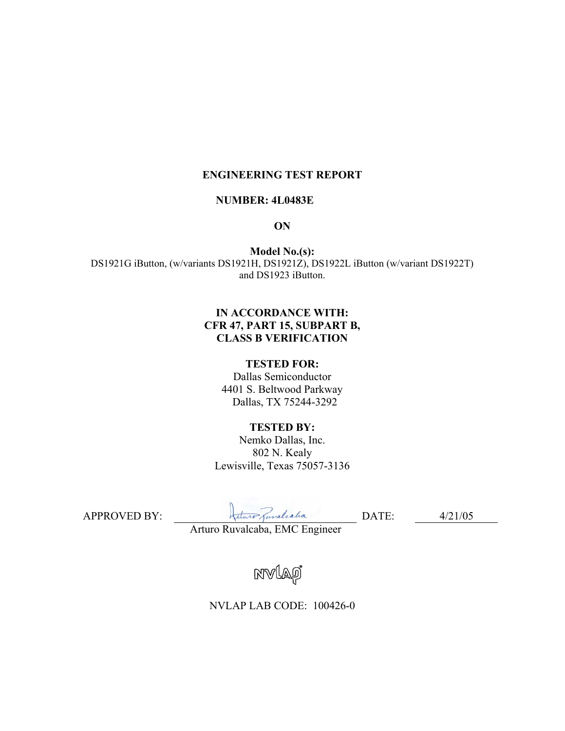## **ENGINEERING TEST REPORT**

#### **NUMBER: 4L0483E**

#### **ON**

**Model No.(s):**  DS1921G iButton, (w/variants DS1921H, DS1921Z), DS1922L iButton (w/variant DS1922T) and DS1923 iButton.

## **IN ACCORDANCE WITH: CFR 47, PART 15, SUBPART B, CLASS B VERIFICATION**

#### **TESTED FOR:**

Dallas Semiconductor 4401 S. Beltwood Parkway Dallas, TX 75244-3292

#### **TESTED BY:**

Nemko Dallas, Inc. 802 N. Kealy Lewisville, Texas 75057-3136

APPROVED BY:DATE: 4/21/05

Arturo Ruvalcaba, EMC Engineer

NVLAO

NVLAP LAB CODE: 100426-0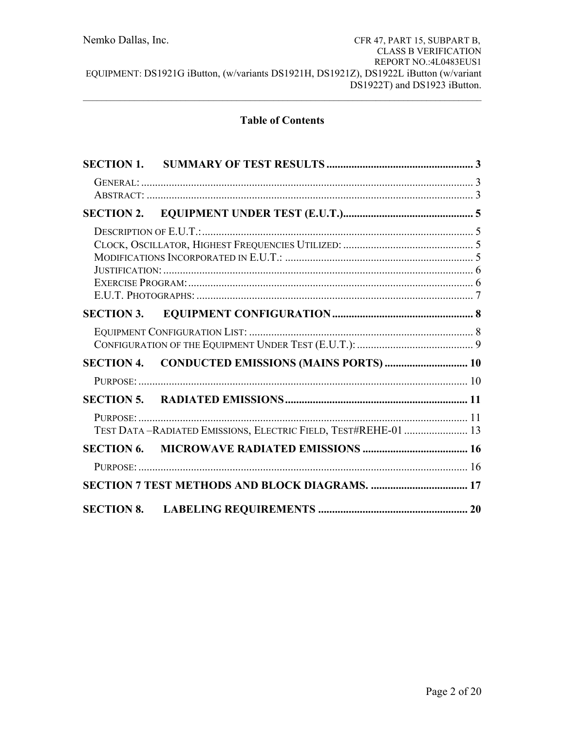# **Table of Contents**

| <b>SECTION 2.</b> |                                                                |  |
|-------------------|----------------------------------------------------------------|--|
|                   |                                                                |  |
|                   |                                                                |  |
|                   |                                                                |  |
|                   |                                                                |  |
|                   |                                                                |  |
|                   | TEST DATA-RADIATED EMISSIONS, ELECTRIC FIELD, TEST#REHE-01  13 |  |
| <b>SECTION 6.</b> |                                                                |  |
|                   |                                                                |  |
|                   |                                                                |  |
| <b>SECTION 8.</b> |                                                                |  |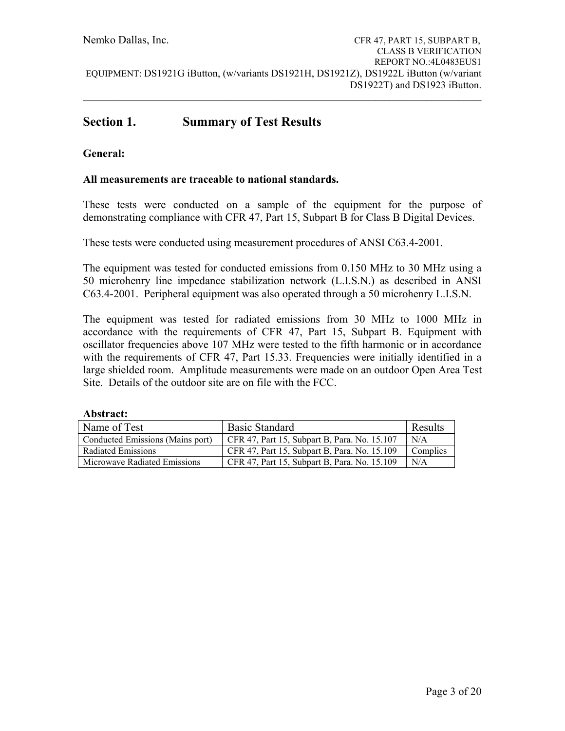$\mathcal{L}_\mathcal{L} = \{ \mathcal{L}_\mathcal{L} = \{ \mathcal{L}_\mathcal{L} = \{ \mathcal{L}_\mathcal{L} = \{ \mathcal{L}_\mathcal{L} = \{ \mathcal{L}_\mathcal{L} = \{ \mathcal{L}_\mathcal{L} = \{ \mathcal{L}_\mathcal{L} = \{ \mathcal{L}_\mathcal{L} = \{ \mathcal{L}_\mathcal{L} = \{ \mathcal{L}_\mathcal{L} = \{ \mathcal{L}_\mathcal{L} = \{ \mathcal{L}_\mathcal{L} = \{ \mathcal{L}_\mathcal{L} = \{ \mathcal{L}_\mathcal{$ 

# **Section 1. Summary of Test Results**

## **General:**

### **All measurements are traceable to national standards.**

These tests were conducted on a sample of the equipment for the purpose of demonstrating compliance with CFR 47, Part 15, Subpart B for Class B Digital Devices.

These tests were conducted using measurement procedures of ANSI C63.4-2001.

The equipment was tested for conducted emissions from 0.150 MHz to 30 MHz using a 50 microhenry line impedance stabilization network (L.I.S.N.) as described in ANSI C63.4-2001. Peripheral equipment was also operated through a 50 microhenry L.I.S.N.

The equipment was tested for radiated emissions from 30 MHz to 1000 MHz in accordance with the requirements of CFR 47, Part 15, Subpart B. Equipment with oscillator frequencies above 107 MHz were tested to the fifth harmonic or in accordance with the requirements of CFR 47, Part 15.33. Frequencies were initially identified in a large shielded room. Amplitude measurements were made on an outdoor Open Area Test Site. Details of the outdoor site are on file with the FCC.

| ADStract.                        |                                              |          |
|----------------------------------|----------------------------------------------|----------|
| Name of Test                     | <b>Basic Standard</b>                        | Results  |
| Conducted Emissions (Mains port) | CFR 47, Part 15, Subpart B, Para. No. 15.107 | N/A      |
| <b>Radiated Emissions</b>        | CFR 47, Part 15, Subpart B, Para. No. 15.109 | Complies |
| Microwave Radiated Emissions     | CFR 47, Part 15, Subpart B, Para. No. 15.109 | N/A      |

# **Abstract:**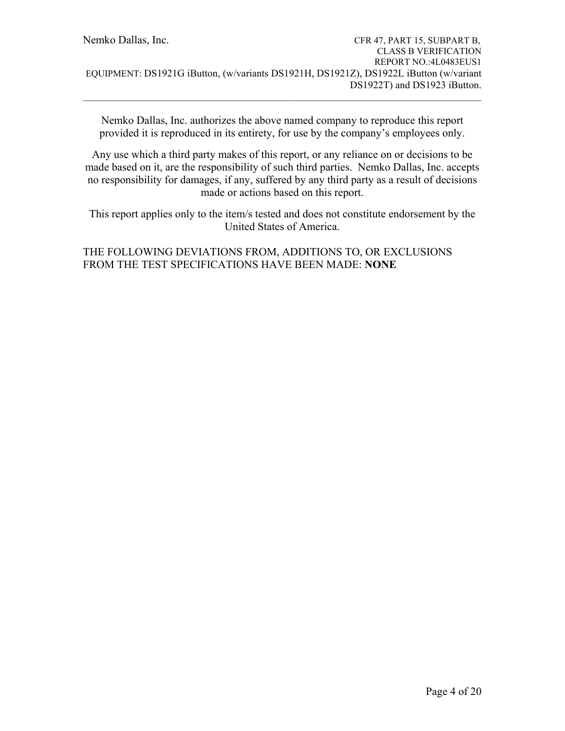Nemko Dallas, Inc. authorizes the above named company to reproduce this report provided it is reproduced in its entirety, for use by the company's employees only.

 $\mathcal{L}_\mathcal{L} = \{ \mathcal{L}_\mathcal{L} = \{ \mathcal{L}_\mathcal{L} = \{ \mathcal{L}_\mathcal{L} = \{ \mathcal{L}_\mathcal{L} = \{ \mathcal{L}_\mathcal{L} = \{ \mathcal{L}_\mathcal{L} = \{ \mathcal{L}_\mathcal{L} = \{ \mathcal{L}_\mathcal{L} = \{ \mathcal{L}_\mathcal{L} = \{ \mathcal{L}_\mathcal{L} = \{ \mathcal{L}_\mathcal{L} = \{ \mathcal{L}_\mathcal{L} = \{ \mathcal{L}_\mathcal{L} = \{ \mathcal{L}_\mathcal{$ 

Any use which a third party makes of this report, or any reliance on or decisions to be made based on it, are the responsibility of such third parties. Nemko Dallas, Inc. accepts no responsibility for damages, if any, suffered by any third party as a result of decisions made or actions based on this report.

This report applies only to the item/s tested and does not constitute endorsement by the United States of America.

# THE FOLLOWING DEVIATIONS FROM, ADDITIONS TO, OR EXCLUSIONS FROM THE TEST SPECIFICATIONS HAVE BEEN MADE: **NONE**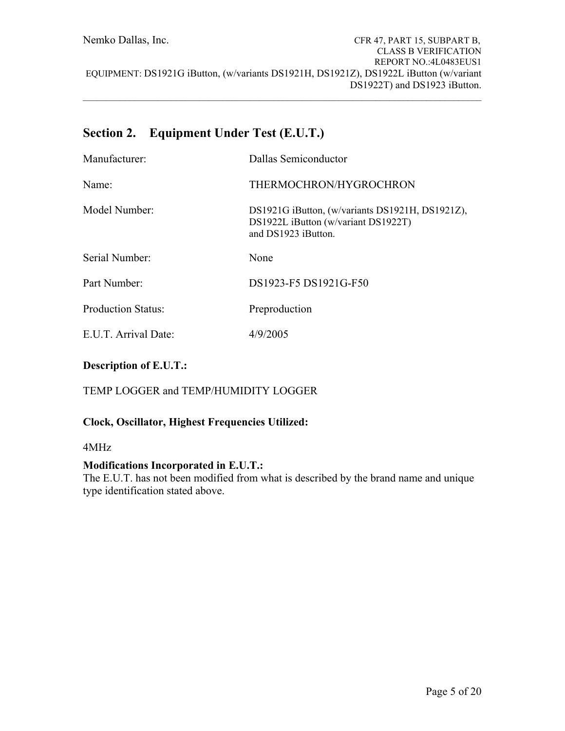# **Section 2. Equipment Under Test (E.U.T.)**

| Manufacturer:             | Dallas Semiconductor                                                                                          |
|---------------------------|---------------------------------------------------------------------------------------------------------------|
| Name:                     | THERMOCHRON/HYGROCHRON                                                                                        |
| Model Number:             | DS1921G iButton, (w/variants DS1921H, DS1921Z),<br>DS1922L iButton (w/variant DS1922T)<br>and DS1923 iButton. |
| Serial Number:            | None                                                                                                          |
| Part Number:              | DS1923-F5 DS1921G-F50                                                                                         |
| <b>Production Status:</b> | Preproduction                                                                                                 |
| E.U.T. Arrival Date:      | 4/9/2005                                                                                                      |

# **Description of E.U.T.:**

# TEMP LOGGER and TEMP/HUMIDITY LOGGER

## **Clock, Oscillator, Highest Frequencies Utilized:**

### 4MHz

## **Modifications Incorporated in E.U.T.:**

The E.U.T. has not been modified from what is described by the brand name and unique type identification stated above.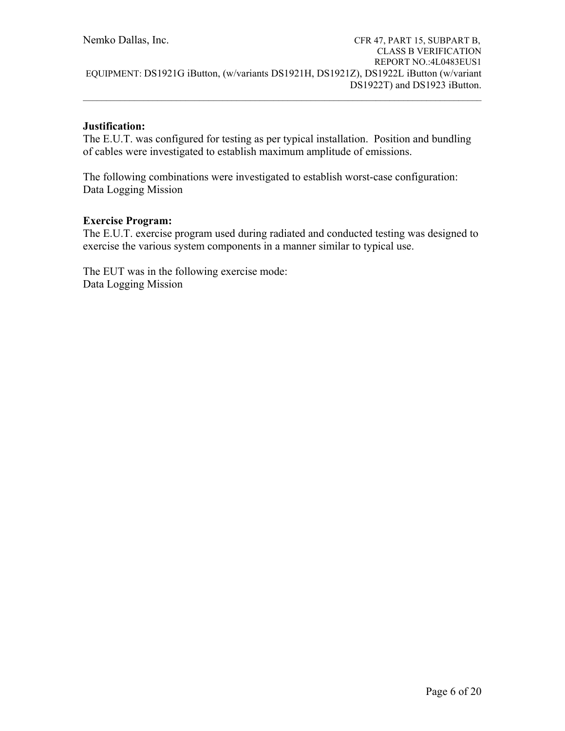## **Justification:**

The E.U.T. was configured for testing as per typical installation. Position and bundling of cables were investigated to establish maximum amplitude of emissions.

The following combinations were investigated to establish worst-case configuration: Data Logging Mission

## **Exercise Program:**

The E.U.T. exercise program used during radiated and conducted testing was designed to exercise the various system components in a manner similar to typical use.

The EUT was in the following exercise mode: Data Logging Mission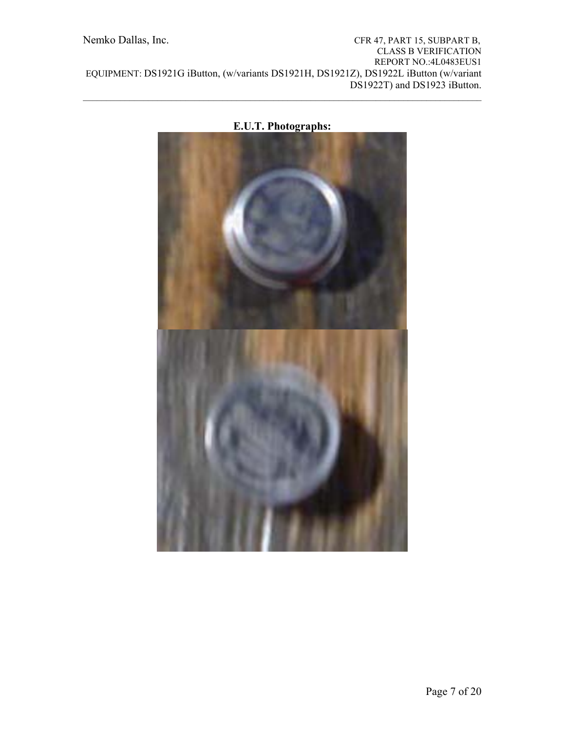



 $\mathcal{L}_\mathcal{L} = \{ \mathcal{L}_\mathcal{L} = \{ \mathcal{L}_\mathcal{L} = \{ \mathcal{L}_\mathcal{L} = \{ \mathcal{L}_\mathcal{L} = \{ \mathcal{L}_\mathcal{L} = \{ \mathcal{L}_\mathcal{L} = \{ \mathcal{L}_\mathcal{L} = \{ \mathcal{L}_\mathcal{L} = \{ \mathcal{L}_\mathcal{L} = \{ \mathcal{L}_\mathcal{L} = \{ \mathcal{L}_\mathcal{L} = \{ \mathcal{L}_\mathcal{L} = \{ \mathcal{L}_\mathcal{L} = \{ \mathcal{L}_\mathcal{$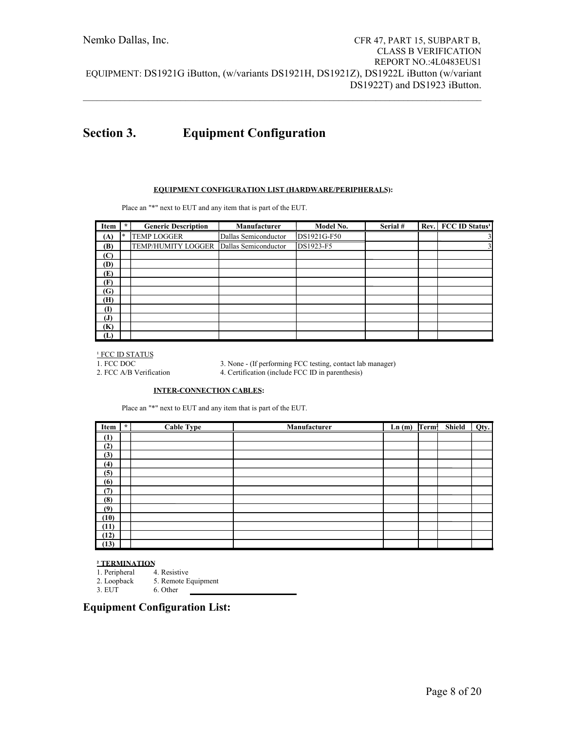# **Section 3. Equipment Configuration**

#### **EQUIPMENT CONFIGURATION LIST (HARDWARE/PERIPHERALS):**

Place an "\*" next to EUT and any item that is part of the EUT.

| Item         | $\mathcal{H}$ | <b>Generic Description</b> | Manufacturer         | Model No.   | Serial # | Rev. FCC ID Status <sup>1</sup> |
|--------------|---------------|----------------------------|----------------------|-------------|----------|---------------------------------|
| (A)          | $\ast$        | <b>TEMP LOGGER</b>         | Dallas Semiconductor | DS1921G-F50 |          | $\overline{\mathbf{3}}$         |
| (B)          |               | TEMP/HUMITY LOGGER         | Dallas Semiconductor | DS1923-F5   |          | $\overline{\mathbf{3}}$         |
| (C)          |               |                            |                      |             |          |                                 |
| (D)          |               |                            |                      |             |          |                                 |
| (E)          |               |                            |                      |             |          |                                 |
| (F)          |               |                            |                      |             |          |                                 |
| (G)          |               |                            |                      |             |          |                                 |
| (H)          |               |                            |                      |             |          |                                 |
| $\mathbf{I}$ |               |                            |                      |             |          |                                 |
| (J)          |               |                            |                      |             |          |                                 |
| (K)          |               |                            |                      |             |          |                                 |
| (L)          |               |                            |                      |             |          |                                 |

 $\frac{1}{1}$  FCC ID STATUS<br>1. FCC DOC

3. None - (If performing FCC testing, contact lab manager)

2. FCC A/B Verification 4. Certification (include FCC ID in parenthesis)

#### **INTER-CONNECTION CABLES:**

Place an "\*" next to EUT and any item that is part of the EUT.

| Item | $\star$ | Cable Type | Manufacturer | Ln(m) | Term† | Shield | Qty. |
|------|---------|------------|--------------|-------|-------|--------|------|
| (1)  |         |            |              |       |       |        |      |
| (2)  |         |            |              |       |       |        |      |
| (3)  |         |            |              |       |       |        |      |
| (4)  |         |            |              |       |       |        |      |
| (5)  |         |            |              |       |       |        |      |
| (6)  |         |            |              |       |       |        |      |
| (7)  |         |            |              |       |       |        |      |
| (8)  |         |            |              |       |       |        |      |
| (9)  |         |            |              |       |       |        |      |
| (10) |         |            |              |       |       |        |      |
| (11) |         |            |              |       |       |        |      |
| (12) |         |            |              |       |       |        |      |
| (13) |         |            |              |       |       |        |      |

#### **² TERMINATION**

- 1. Peripheral 4. Resistive<br>2. Loopback 5. Remote E
- 2. Loopback 5. Remote Equipment<br>3. EUT 6. Other
	- 6. Other

### **Equipment Configuration List:**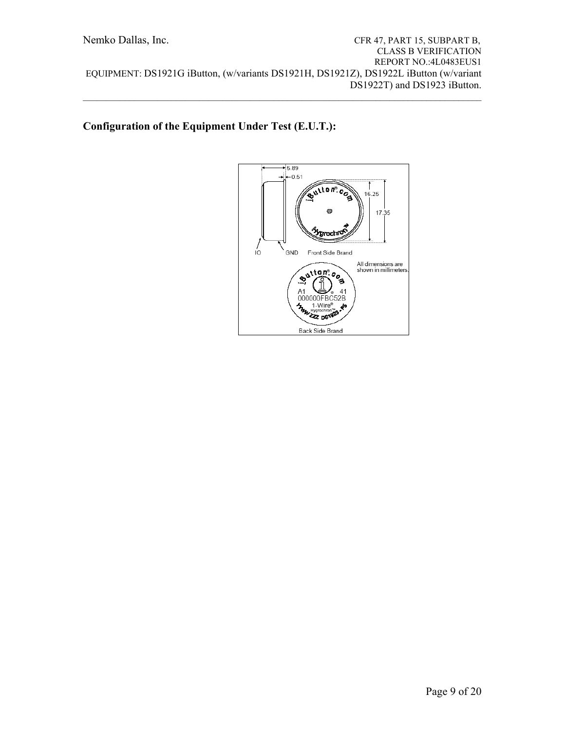# **Configuration of the Equipment Under Test (E.U.T.):**

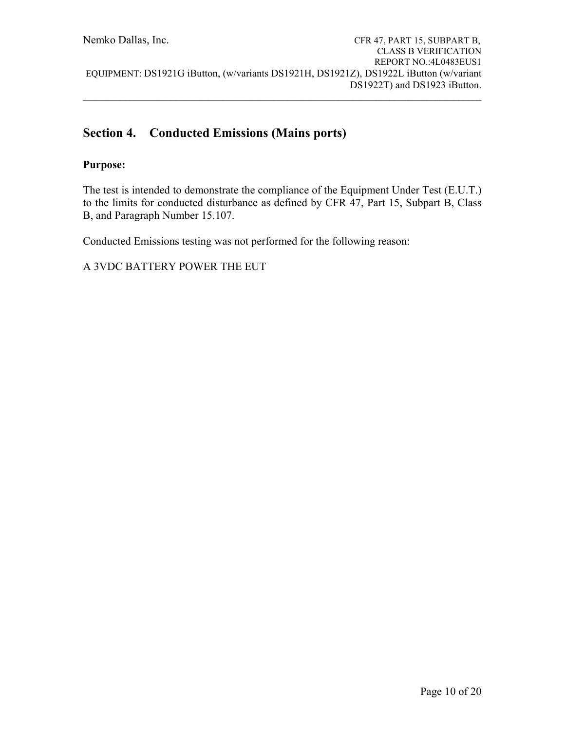# **Section 4. Conducted Emissions (Mains ports)**

# **Purpose:**

The test is intended to demonstrate the compliance of the Equipment Under Test (E.U.T.) to the limits for conducted disturbance as defined by CFR 47, Part 15, Subpart B, Class B, and Paragraph Number 15.107.

Conducted Emissions testing was not performed for the following reason:

A 3VDC BATTERY POWER THE EUT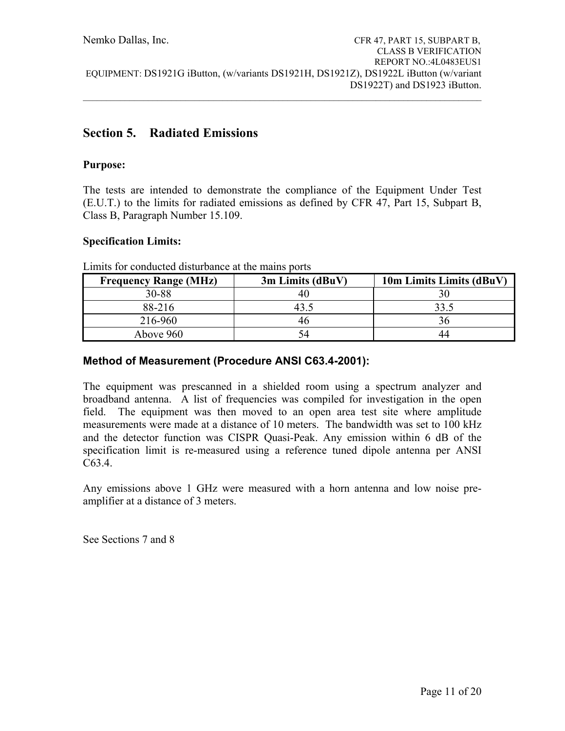# **Section 5. Radiated Emissions**

# **Purpose:**

The tests are intended to demonstrate the compliance of the Equipment Under Test (E.U.T.) to the limits for radiated emissions as defined by CFR 47, Part 15, Subpart B, Class B, Paragraph Number 15.109.

# **Specification Limits:**

| <b>Frequency Range (MHz)</b> | 3m Limits (dBuV) | 10m Limits Limits (dBuV) |
|------------------------------|------------------|--------------------------|
| 30-88                        | 40               |                          |
| 88-216                       | 43.5             | 33.5                     |
| 216-960                      | 46               | 36                       |
| Above 960                    | 54               | 44                       |

Limits for conducted disturbance at the mains ports

# **Method of Measurement (Procedure ANSI C63.4-2001):**

The equipment was prescanned in a shielded room using a spectrum analyzer and broadband antenna. A list of frequencies was compiled for investigation in the open field. The equipment was then moved to an open area test site where amplitude measurements were made at a distance of 10 meters. The bandwidth was set to 100 kHz and the detector function was CISPR Quasi-Peak. Any emission within 6 dB of the specification limit is re-measured using a reference tuned dipole antenna per ANSI C63.4.

Any emissions above 1 GHz were measured with a horn antenna and low noise preamplifier at a distance of 3 meters.

See Sections 7 and 8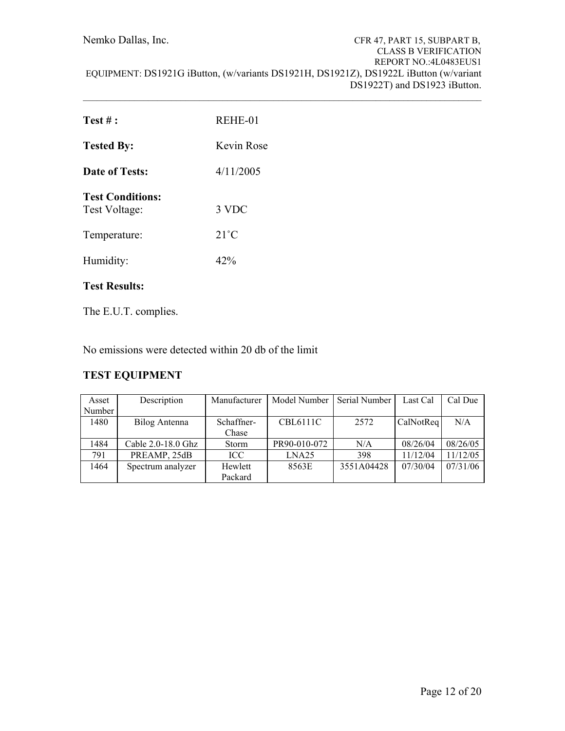Nemko Dallas, Inc. CFR 47, PART 15, SUBPART B, CLASS B VERIFICATION REPORT NO.:4L0483EUS1 EQUIPMENT: DS1921G iButton, (w/variants DS1921H, DS1921Z), DS1922L iButton (w/variant DS1922T) and DS1923 iButton.  $\mathcal{L}_\mathcal{L} = \{ \mathcal{L}_\mathcal{L} = \{ \mathcal{L}_\mathcal{L} = \{ \mathcal{L}_\mathcal{L} = \{ \mathcal{L}_\mathcal{L} = \{ \mathcal{L}_\mathcal{L} = \{ \mathcal{L}_\mathcal{L} = \{ \mathcal{L}_\mathcal{L} = \{ \mathcal{L}_\mathcal{L} = \{ \mathcal{L}_\mathcal{L} = \{ \mathcal{L}_\mathcal{L} = \{ \mathcal{L}_\mathcal{L} = \{ \mathcal{L}_\mathcal{L} = \{ \mathcal{L}_\mathcal{L} = \{ \mathcal{L}_\mathcal{$ 

| Test #:                                  | REHE-01        |
|------------------------------------------|----------------|
| <b>Tested By:</b>                        | Kevin Rose     |
| Date of Tests:                           | 4/11/2005      |
| <b>Test Conditions:</b><br>Test Voltage: | 3 VDC          |
| Temperature:                             | $21^{\circ}$ C |
| Humidity:                                | 42%            |

# **Test Results:**

The E.U.T. complies.

No emissions were detected within 20 db of the limit

# **TEST EQUIPMENT**

| Asset  | Description            | Manufacturer | Model Number    | Serial Number | Last Cal  | Cal Due  |
|--------|------------------------|--------------|-----------------|---------------|-----------|----------|
| Number |                        |              |                 |               |           |          |
| 1480   | Bilog Antenna          | Schaffner-   | <b>CBL6111C</b> | 2572          | CalNotReq | N/A      |
|        |                        | Chase        |                 |               |           |          |
| 1484   | Cable $2.0 - 18.0$ Ghz | <b>Storm</b> | PR90-010-072    | N/A           | 08/26/04  | 08/26/05 |
| 791    | PREAMP, 25dB           | ICC.         | LNA25           | 398           | 11/12/04  | 11/12/05 |
| 1464   | Spectrum analyzer      | Hewlett      | 8563E           | 3551A04428    | 07/30/04  | 07/31/06 |
|        |                        | Packard      |                 |               |           |          |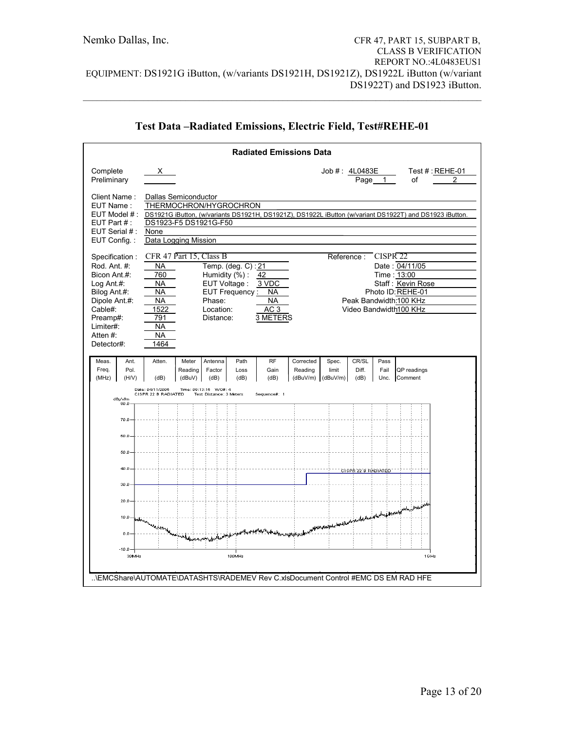|                                                                                                                                                               |                                                                              |                                                                       |                                                                                                           | <b>Radiated Emissions Data</b>                                       |                                                                                  |                            |                        |                      |                                                                                                                             |  |
|---------------------------------------------------------------------------------------------------------------------------------------------------------------|------------------------------------------------------------------------------|-----------------------------------------------------------------------|-----------------------------------------------------------------------------------------------------------|----------------------------------------------------------------------|----------------------------------------------------------------------------------|----------------------------|------------------------|----------------------|-----------------------------------------------------------------------------------------------------------------------------|--|
| Complete<br>Preliminary                                                                                                                                       | X.                                                                           |                                                                       |                                                                                                           |                                                                      |                                                                                  | Job #: 4L0483E             | Page                   | 1                    | Test $#$ : REHE-01<br>2<br>οf                                                                                               |  |
| Client Name:<br>EUT Name:<br>EUT Model #:<br>EUT Part $#$ :<br>EUT Serial #:<br>EUT Config.:                                                                  | None                                                                         | Dallas Semiconductor<br>DS1923-F5 DS1921G-F50<br>Data Logging Mission | THERMOCHRON/HYGROCHRON                                                                                    |                                                                      |                                                                                  |                            |                        |                      | DS1921G iButton, (w/variants DS1921H, DS1921Z), DS1922L iButton (w/variant DS1922T) and DS1923 iButton.                     |  |
| Specification:<br>Rod. Ant. #:<br>Bicon Ant.#:<br>Log Ant $#$ :<br>Bilog Ant.#:<br>Dipole Ant.#:<br>Cable#:<br>Preamp#:<br>Limiter#:<br>Atten#:<br>Detector#: | <b>NA</b><br>760<br>NA<br>ΝA<br>NA<br>1522<br>791<br>NA<br><b>NA</b><br>1464 | CFR 47 Part 15, Class B                                               | Temp. (deg. C): 21<br>Humidity (%):<br>EUT Voltage:<br>EUT Frequency:<br>Phase:<br>Location:<br>Distance: | 42<br>3 VDC<br><b>NA</b><br><b>NA</b><br>AC <sub>3</sub><br>3 METERS |                                                                                  | Reference:                 |                        | CISPR <sub>22</sub>  | Date: 04/11/05<br>Time: 13:00<br>Staff: Kevin Rose<br>Photo ID: REHE-01<br>Peak Bandwidth:100 KHz<br>Video Bandwidth100 KHz |  |
| Meas.<br>Ant.<br>Freq.<br>Pol.<br>(MHz)<br>(H/V)                                                                                                              | Atten.<br>(dB)                                                               | Meter<br>Reading<br>(dBuV)                                            | Antenna<br>Path<br>Factor<br>Loss<br>(dB)<br>(dB)                                                         | <b>RF</b><br>Gain<br>(dB)                                            | Corrected<br>Reading<br>(dBuV/m)                                                 | Spec.<br>limit<br>(dBuV/m) | CR/SL<br>Diff.<br>(dB) | Pass<br>Fail<br>Unc. | QP readings<br>Comment                                                                                                      |  |
| dBu\//m<br>80.0                                                                                                                                               | Date: 04/11/2005<br>CISPR 22 B RADIATED                                      | Time: 09:13:15 WO#: 4                                                 | Test Distance: 3 Meters                                                                                   | Sequence#: 1                                                         |                                                                                  |                            |                        |                      |                                                                                                                             |  |
| 70.0                                                                                                                                                          |                                                                              |                                                                       |                                                                                                           |                                                                      |                                                                                  |                            |                        |                      |                                                                                                                             |  |
| 60.0                                                                                                                                                          |                                                                              |                                                                       |                                                                                                           |                                                                      |                                                                                  |                            |                        |                      |                                                                                                                             |  |
| 50.0<br>40.0                                                                                                                                                  |                                                                              |                                                                       |                                                                                                           |                                                                      |                                                                                  |                            |                        |                      |                                                                                                                             |  |
| 30.0                                                                                                                                                          |                                                                              |                                                                       |                                                                                                           |                                                                      |                                                                                  |                            | CISPR 22 B RADIATED    |                      |                                                                                                                             |  |
| 20.0                                                                                                                                                          |                                                                              |                                                                       |                                                                                                           |                                                                      |                                                                                  |                            |                        |                      |                                                                                                                             |  |
| 10.0<br>0.0                                                                                                                                                   | finitivization of providers that                                             |                                                                       |                                                                                                           |                                                                      | www.internationalander.com/www.internationalander.com/www.internationalander.com |                            |                        |                      |                                                                                                                             |  |
| $-10.0$                                                                                                                                                       |                                                                              |                                                                       |                                                                                                           |                                                                      |                                                                                  |                            |                        |                      |                                                                                                                             |  |
| 30MHz<br>\EMCShare\AUTOMATE\DATASHTS\RADEMEV Rev C.xlsDocument Control #EMC DS EM RAD HFE                                                                     |                                                                              |                                                                       | 100MHz                                                                                                    |                                                                      |                                                                                  |                            |                        |                      | 1 G Hz                                                                                                                      |  |

# **Test Data –Radiated Emissions, Electric Field, Test#REHE-01**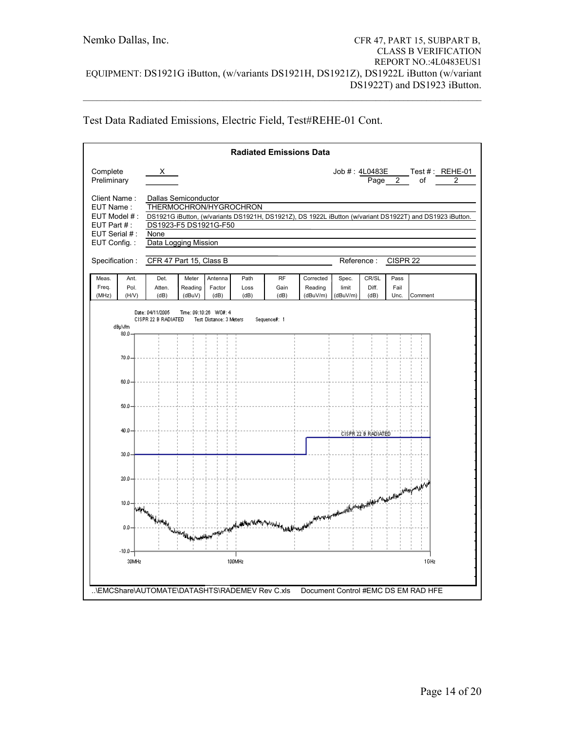|  |  | Test Data Radiated Emissions, Electric Field, Test#REHE-01 Cont. |  |
|--|--|------------------------------------------------------------------|--|
|  |  |                                                                  |  |

|                                                          |                       |                                                                                |                            |                                                  |                      | <b>Radiated Emissions Data</b> |                                     |                            |                        |                      |         |                                                                                                          |
|----------------------------------------------------------|-----------------------|--------------------------------------------------------------------------------|----------------------------|--------------------------------------------------|----------------------|--------------------------------|-------------------------------------|----------------------------|------------------------|----------------------|---------|----------------------------------------------------------------------------------------------------------|
| Complete<br>Preliminary                                  |                       | X —                                                                            |                            |                                                  |                      |                                |                                     |                            |                        | Page 2               | οf      | Job #: 4L0483E ____ Test #: _REHE-01<br>2                                                                |
| Client Name:<br>EUT Name:<br>EUT Model #:<br>EUT Part #: |                       | <b>Dallas Semiconductor</b><br>THERMOCHRON/HYGROCHRON<br>DS1923-F5 DS1921G-F50 |                            |                                                  |                      |                                |                                     |                            |                        |                      |         | DS1921G iButton, (w/variants DS1921H, DS1921Z), DS 1922L iButton (w/variant DS1922T) and DS1923 iButton. |
| EUT Serial #:<br>EUT Config.:                            |                       | None<br>Data Logging Mission                                                   |                            |                                                  |                      |                                |                                     |                            |                        |                      |         |                                                                                                          |
| Specification:                                           |                       | CFR 47 Part 15, Class B                                                        |                            |                                                  |                      |                                |                                     | Reference:                 |                        | CISPR <sub>22</sub>  |         |                                                                                                          |
| Meas.<br>Freq.<br>(MHz)                                  | Ant.<br>Pol.<br>(H/V) | Det.<br>Atten.<br>(dB)                                                         | Meter<br>Reading<br>(dBuV) | Antenna<br>Factor<br>(dB)                        | Path<br>Loss<br>(dB) | <b>RF</b><br>Gain<br>(dB)      | Corrected<br>Reading<br>(dBuV/m)    | Spec.<br>limit<br>(dBuV/m) | CR/SL<br>Diff.<br>(dB) | Pass<br>Fail<br>Unc. | Comment |                                                                                                          |
|                                                          | dBµ\//m<br>80.0       | Date: 04/11/2005<br>CISPR 22 B RADIATED                                        |                            | Time: 09:10:26 WO#: 4<br>Test Distance: 3 Meters |                      | Sequence#: 1                   |                                     |                            |                        |                      |         |                                                                                                          |
|                                                          | 70.0                  |                                                                                |                            |                                                  |                      |                                |                                     |                            |                        |                      |         |                                                                                                          |
|                                                          | 60.0                  |                                                                                |                            |                                                  |                      |                                |                                     |                            |                        |                      |         |                                                                                                          |
|                                                          | 50.0                  |                                                                                |                            |                                                  |                      |                                |                                     |                            |                        |                      |         |                                                                                                          |
|                                                          | 40.0                  |                                                                                |                            |                                                  |                      |                                |                                     |                            | CISPR 22 B RADIATED    |                      |         |                                                                                                          |
|                                                          | 30.0                  |                                                                                |                            |                                                  |                      |                                |                                     |                            |                        |                      |         |                                                                                                          |
|                                                          | 20.0                  |                                                                                |                            |                                                  |                      |                                |                                     |                            |                        |                      |         |                                                                                                          |
|                                                          | 10.0 <sub>1</sub>     | Furthermore of Guard Hamburg                                                   |                            |                                                  |                      |                                |                                     |                            |                        |                      |         |                                                                                                          |
|                                                          | 0.0                   |                                                                                |                            | املابي                                           |                      |                                |                                     |                            |                        |                      |         |                                                                                                          |
|                                                          | $-10.0$<br>30MHz      |                                                                                |                            |                                                  | 100MHz               |                                |                                     |                            |                        |                      | 1GHz    |                                                                                                          |
|                                                          |                       |                                                                                |                            |                                                  |                      |                                | Document Control #EMC DS EM RAD HFE |                            |                        |                      |         |                                                                                                          |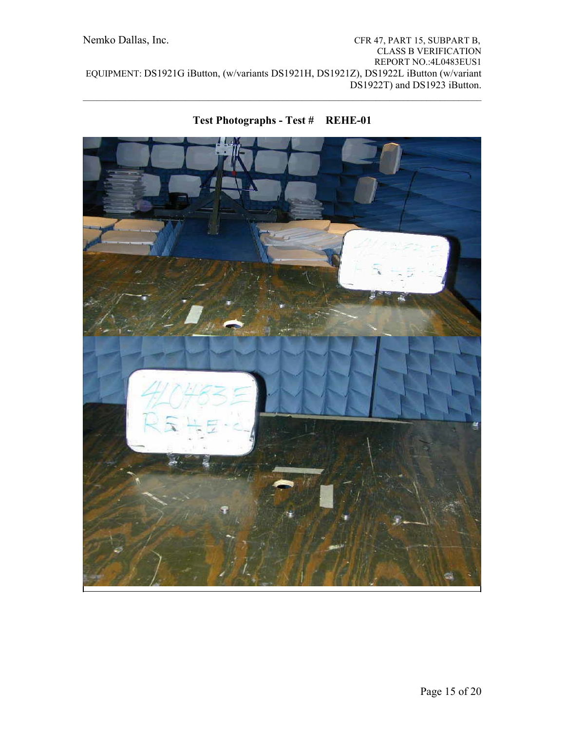

# **Test Photographs - Test # REHE-01**

 $\mathcal{L}_\mathcal{L} = \{ \mathcal{L}_\mathcal{L} = \{ \mathcal{L}_\mathcal{L} = \{ \mathcal{L}_\mathcal{L} = \{ \mathcal{L}_\mathcal{L} = \{ \mathcal{L}_\mathcal{L} = \{ \mathcal{L}_\mathcal{L} = \{ \mathcal{L}_\mathcal{L} = \{ \mathcal{L}_\mathcal{L} = \{ \mathcal{L}_\mathcal{L} = \{ \mathcal{L}_\mathcal{L} = \{ \mathcal{L}_\mathcal{L} = \{ \mathcal{L}_\mathcal{L} = \{ \mathcal{L}_\mathcal{L} = \{ \mathcal{L}_\mathcal{$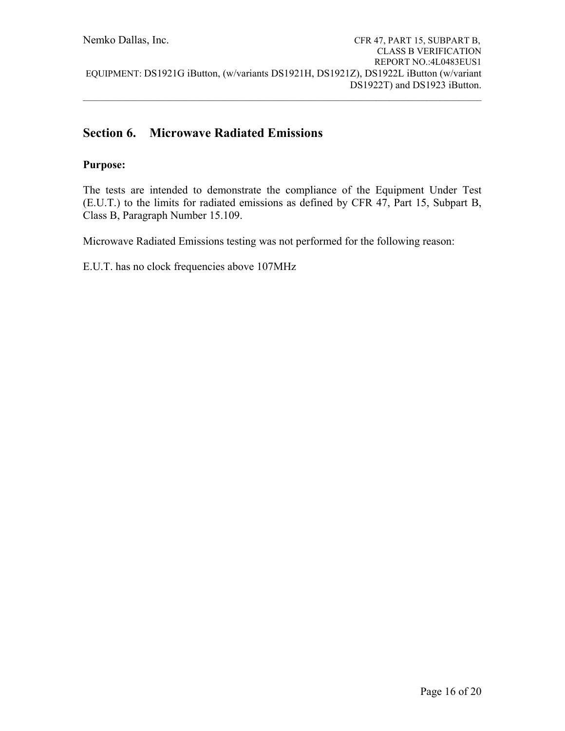# **Section 6. Microwave Radiated Emissions**

## **Purpose:**

The tests are intended to demonstrate the compliance of the Equipment Under Test (E.U.T.) to the limits for radiated emissions as defined by CFR 47, Part 15, Subpart B, Class B, Paragraph Number 15.109.

Microwave Radiated Emissions testing was not performed for the following reason:

E.U.T. has no clock frequencies above 107MHz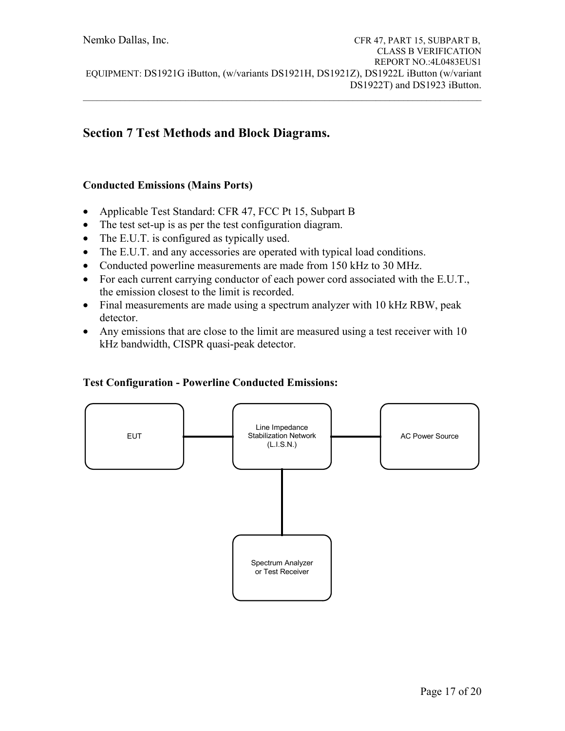$\mathcal{L}_\mathcal{L} = \{ \mathcal{L}_\mathcal{L} = \{ \mathcal{L}_\mathcal{L} = \{ \mathcal{L}_\mathcal{L} = \{ \mathcal{L}_\mathcal{L} = \{ \mathcal{L}_\mathcal{L} = \{ \mathcal{L}_\mathcal{L} = \{ \mathcal{L}_\mathcal{L} = \{ \mathcal{L}_\mathcal{L} = \{ \mathcal{L}_\mathcal{L} = \{ \mathcal{L}_\mathcal{L} = \{ \mathcal{L}_\mathcal{L} = \{ \mathcal{L}_\mathcal{L} = \{ \mathcal{L}_\mathcal{L} = \{ \mathcal{L}_\mathcal{$ 

# **Section 7 Test Methods and Block Diagrams.**

## **Conducted Emissions (Mains Ports)**

- Applicable Test Standard: CFR 47, FCC Pt 15, Subpart B
- The test set-up is as per the test configuration diagram.
- The E.U.T. is configured as typically used.
- The E.U.T. and any accessories are operated with typical load conditions.
- Conducted powerline measurements are made from 150 kHz to 30 MHz.
- For each current carrying conductor of each power cord associated with the E.U.T., the emission closest to the limit is recorded.
- Final measurements are made using a spectrum analyzer with 10 kHz RBW, peak detector.
- Any emissions that are close to the limit are measured using a test receiver with 10 kHz bandwidth, CISPR quasi-peak detector.

## **Test Configuration - Powerline Conducted Emissions:**

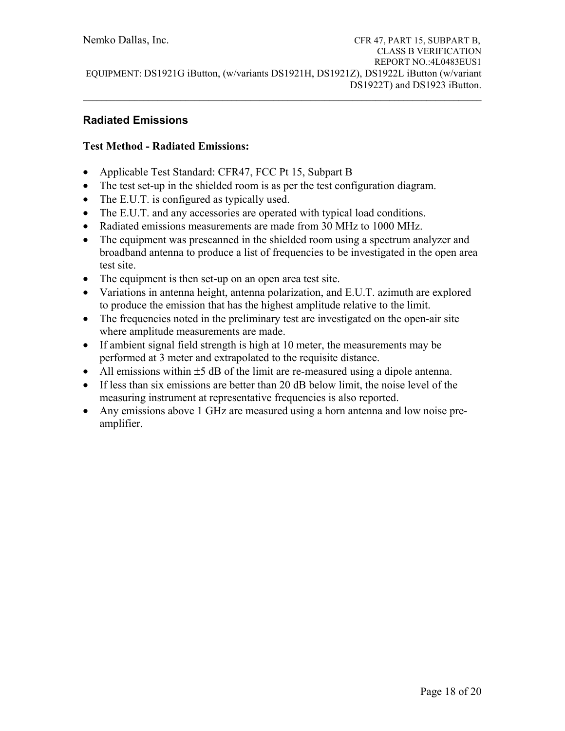# **Radiated Emissions**

# **Test Method - Radiated Emissions:**

- Applicable Test Standard: CFR47, FCC Pt 15, Subpart B
- The test set-up in the shielded room is as per the test configuration diagram.
- The E.U.T. is configured as typically used.
- The E.U.T. and any accessories are operated with typical load conditions.
- Radiated emissions measurements are made from 30 MHz to 1000 MHz.
- The equipment was prescanned in the shielded room using a spectrum analyzer and broadband antenna to produce a list of frequencies to be investigated in the open area test site.
- The equipment is then set-up on an open area test site.
- Variations in antenna height, antenna polarization, and E.U.T. azimuth are explored to produce the emission that has the highest amplitude relative to the limit.
- The frequencies noted in the preliminary test are investigated on the open-air site where amplitude measurements are made.
- If ambient signal field strength is high at 10 meter, the measurements may be performed at 3 meter and extrapolated to the requisite distance.
- All emissions within  $\pm 5$  dB of the limit are re-measured using a dipole antenna.
- If less than six emissions are better than 20 dB below limit, the noise level of the measuring instrument at representative frequencies is also reported.
- Any emissions above 1 GHz are measured using a horn antenna and low noise preamplifier.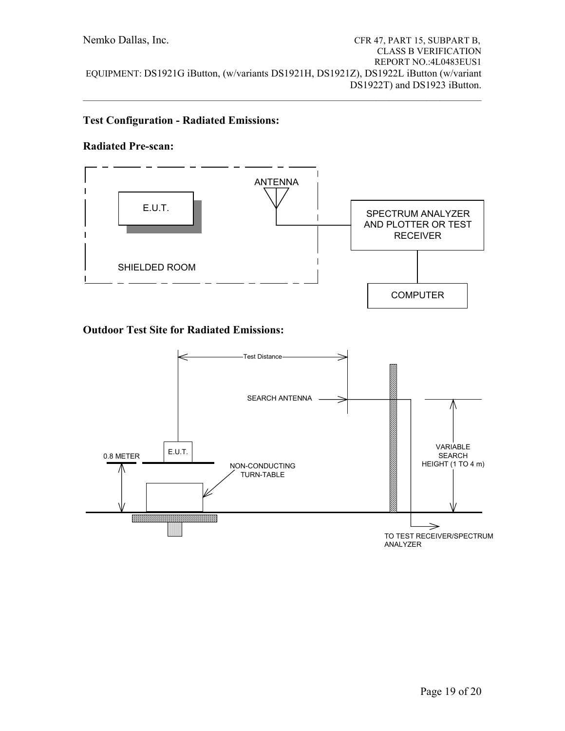$\mathcal{L}_\mathcal{L} = \{ \mathcal{L}_\mathcal{L} = \{ \mathcal{L}_\mathcal{L} = \{ \mathcal{L}_\mathcal{L} = \{ \mathcal{L}_\mathcal{L} = \{ \mathcal{L}_\mathcal{L} = \{ \mathcal{L}_\mathcal{L} = \{ \mathcal{L}_\mathcal{L} = \{ \mathcal{L}_\mathcal{L} = \{ \mathcal{L}_\mathcal{L} = \{ \mathcal{L}_\mathcal{L} = \{ \mathcal{L}_\mathcal{L} = \{ \mathcal{L}_\mathcal{L} = \{ \mathcal{L}_\mathcal{L} = \{ \mathcal{L}_\mathcal{$ 

## **Test Configuration - Radiated Emissions:**

### **Radiated Pre-scan:**

![](_page_18_Figure_3.jpeg)

# **Outdoor Test Site for Radiated Emissions:**

![](_page_18_Figure_5.jpeg)